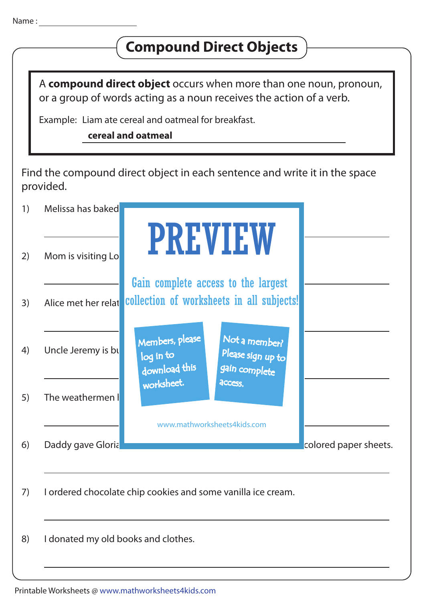|    |                                     | A compound direct object occurs when more than one noun, pronoun,<br>or a group of words acting as a noun receives the action of a verb. |
|----|-------------------------------------|------------------------------------------------------------------------------------------------------------------------------------------|
|    |                                     | Example: Liam ate cereal and oatmeal for breakfast.<br>cereal and oatmeal                                                                |
|    | provided.                           | Find the compound direct object in each sentence and write it in the space                                                               |
| 1) | Melissa has baked                   |                                                                                                                                          |
| 2) | Mom is visiting Lo                  | <b>PREVIEW</b>                                                                                                                           |
| 3) | Alice met her relat                 | Gain complete access to the largest<br>collection of worksheets in all subjects!                                                         |
| 4) | Uncle Jeremy is by                  | Members, please<br>Not a member?<br>Please sign up to<br>log in to<br>download this<br>gain complete                                     |
| 5) | The weathermen I                    | worksheet.<br><b>ACCESS.</b><br>www.mathworksheets4kids.com                                                                              |
| 6) | Daddy gave Gloria                   | colored paper sheets.                                                                                                                    |
| 7) |                                     | I ordered chocolate chip cookies and some vanilla ice cream.                                                                             |
| 8) | I donated my old books and clothes. |                                                                                                                                          |